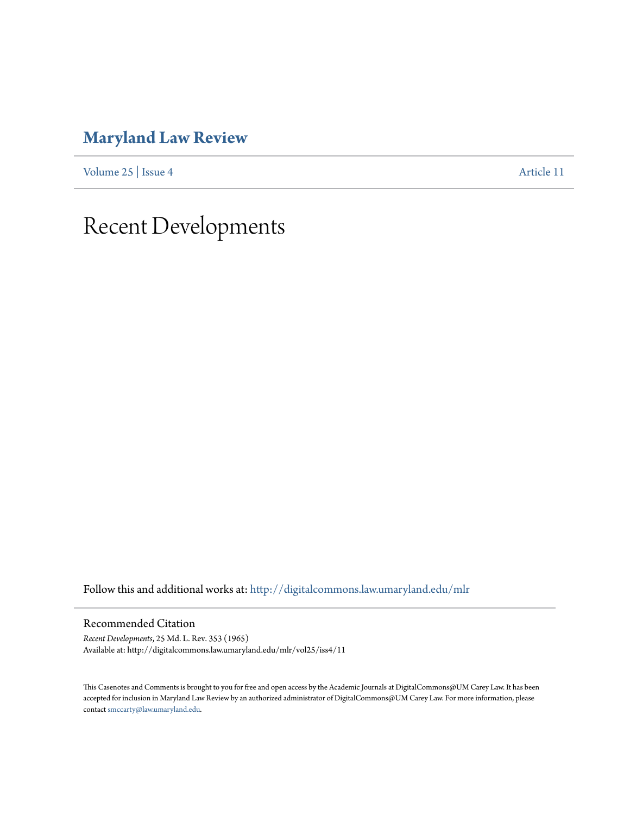## **[Maryland Law Review](http://digitalcommons.law.umaryland.edu/mlr?utm_source=digitalcommons.law.umaryland.edu%2Fmlr%2Fvol25%2Fiss4%2F11&utm_medium=PDF&utm_campaign=PDFCoverPages)**

[Volume 25](http://digitalcommons.law.umaryland.edu/mlr/vol25?utm_source=digitalcommons.law.umaryland.edu%2Fmlr%2Fvol25%2Fiss4%2F11&utm_medium=PDF&utm_campaign=PDFCoverPages) | [Issue 4](http://digitalcommons.law.umaryland.edu/mlr/vol25/iss4?utm_source=digitalcommons.law.umaryland.edu%2Fmlr%2Fvol25%2Fiss4%2F11&utm_medium=PDF&utm_campaign=PDFCoverPages) [Article 11](http://digitalcommons.law.umaryland.edu/mlr/vol25/iss4/11?utm_source=digitalcommons.law.umaryland.edu%2Fmlr%2Fvol25%2Fiss4%2F11&utm_medium=PDF&utm_campaign=PDFCoverPages)

## Recent Developments

Follow this and additional works at: [http://digitalcommons.law.umaryland.edu/mlr](http://digitalcommons.law.umaryland.edu/mlr?utm_source=digitalcommons.law.umaryland.edu%2Fmlr%2Fvol25%2Fiss4%2F11&utm_medium=PDF&utm_campaign=PDFCoverPages)

Recommended Citation

*Recent Developments*, 25 Md. L. Rev. 353 (1965) Available at: http://digitalcommons.law.umaryland.edu/mlr/vol25/iss4/11

This Casenotes and Comments is brought to you for free and open access by the Academic Journals at DigitalCommons@UM Carey Law. It has been accepted for inclusion in Maryland Law Review by an authorized administrator of DigitalCommons@UM Carey Law. For more information, please contact [smccarty@law.umaryland.edu.](mailto:smccarty@law.umaryland.edu)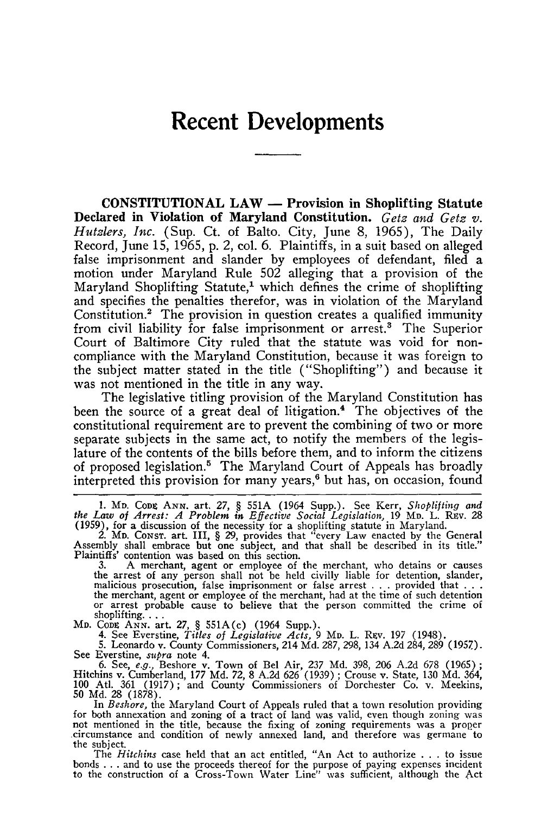## **Recent Developments**

**CONSTITUTIONAL LAW - Provision in Shoplifting Statute Declared in Violation of Maryland Constitution.** *Getz and Getz v. Hutzlers, Inc.* (Sup. Ct. of Balto. City, June 8, 1965), The Daily Record, June 15, 1965, p. 2, col. 6. Plaintiffs, in a suit based on alleged false imprisonment and slander by employees of defendant, filed a motion under Maryland Rule 502 alleging that a provision of the Maryland Shoplifting Statute,<sup>1</sup> which defines the crime of shoplifting and specifies the penalties therefor, was in violation of the Maryland Constitution.2 The provision in question creates a qualified immunity from civil liability for false imprisonment or arrest.<sup>3</sup> The Superior Court of Baltimore City ruled that the statute was void for noncompliance with the Maryland Constitution, because it was foreign to the subject matter stated in the title ("Shoplifting") and because it was not mentioned in the title in any way.

The legislative titling provision of the Maryland Constitution has been the source of a great deal of litigation.<sup>4</sup> The objectives of the constitutional requirement are to prevent the combining of two or more separate subjects in the same act, to notify the members of the legislature of the contents of the bills before them, and to inform the citizens of proposed legislation.5 The Maryland Court of Appeals has broadly interpreted this provision for many years, $6$  but has, on occasion, found

1. MD. Copg ANN. art. 27, § 551A (1964 Supp.). See Kerr, Shoplifting and<br>the Law of Arrest: A Problem in Effective Social Legislation, 19 MD. L. REV. 28<br>(1959), for a discussion of the necessity for a shoplifting statute

3. A merchant, agent or employee of the merchant, who detains or causes the arrest of any person shall not be held civilly liable for detention, slander, malicious prosecution, false imprisonment or false arrest... provided that ...<br>the merchant, agent or employee of the merchant, had at the time of such detention<br>or arrest probable cause to believe that the person committe

shoplifting....<br>MD. Cone ANN. art. 27, § 551A(c) (1964 Supp.).<br>4. See Everstine, Titles of Legislative Acts, 9 Mp. L. Rev. 197 (1948).<br>5. Leonardo v. County Commissioners, 214 Md. 287, 298, 134 A.2d 284, 289 (1957<br>See Ever

6. See, *e.g.*, Beshore v. Town of Bel Air, 237 Md. 398, 206 A.2d 678 (1965) Hitchins v. Cumberland, 177 Md. 72, 8 A.2d 626 (1939); Crouse v. State, 130 Md. 364<br>100 Atl. 361 (1917); and County Commissioners of Dorchester C

for both annexation and zoning of a tract of land was valid, even though zoning was not mentioned in the title, because the fixing of zoning requirements was a proper circumstance and condition of newly annexed land, and therefore was germane to the subject.

The *Hitchins* case held that an act entitled, "An Act to authorize . . . to issue<br>bonds . . . and to use the proceeds thereof for the purpose of paying expenses incident<br>to the construction of a Cross-Town Water Line" was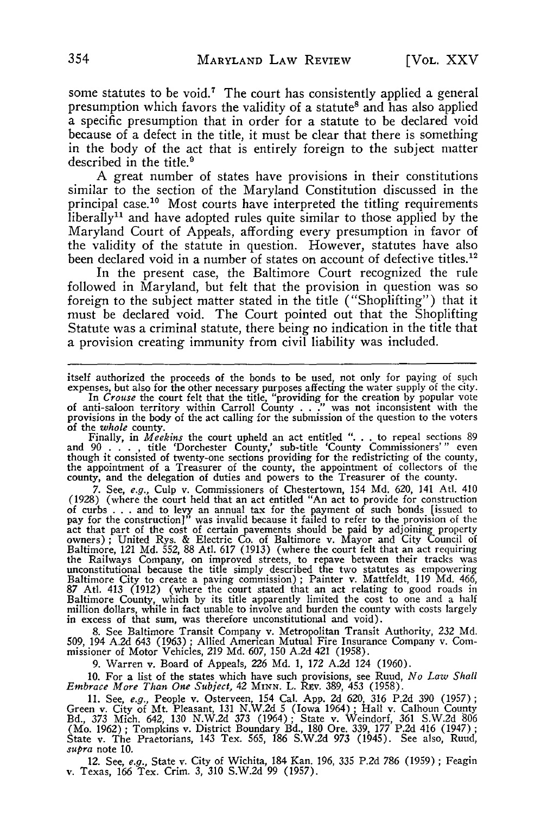some statutes to be void.<sup>7</sup> The court has consistently applied a general presumption which favors the validity of a statute<sup>8</sup> and has also applied a specific presumption that in order for a statute to be declared void because of a defect in the title, it must be clear that there is something in the body of the act that is entirely foreign to the subject matter described in the title.<sup>9</sup>

A great number of states have provisions in their constitutions similar to the section of the Maryland Constitution discussed in the principal case.<sup>10</sup> Most courts have interpreted the titling requirements liberally<sup>11</sup> and have adopted rules quite similar to those applied by the Maryland Court of Appeals, affording every presumption in favor of the validity of the statute in question. However, statutes have also been declared void in a number of states on account of defective titles.<sup>12</sup>

In the present case, the Baltimore Court recognized the rule followed in Maryland, but felt that the provision in question was so foreign to the subject matter stated in the title ("Shoplifting") that it must be declared void. The Court pointed out that the Shoplifting Statute was a criminal statute, there being no indication in the title that a provision creating immunity from civil liability was included.

itself authorized the proceeds of the bonds to be used, not only for paying of such expenses, but also for the other necessary purposes affecting the water supply of the city.

In *Crouse* the court felt that the title, "providing for the creation by popular vote<br>of anti-saloon territory within Carroll County . . ." was not inconsistent with the<br>provisions in the body of the act calling for the s of the *whole* county.

Finally, in *Meekins* the court upheld an act entitled *"...* to repeal sections 89 and 90 . **. . ,** title 'Dorchester County,' sub-title 'County Commissioners' **"** even though it consisted of twenty-one sections providing for the redistricting of the county, the appointment of a Treasurer of the county, the appointment of collectors of the county, and the delegation of duties and powers to the Treasurer of the county.

7. See, *e.g.,* Culp v. Commissioners of Chestertown, 154 Md. 620, 141 Atl. 410 (1928) (where the court held that an act entitled "An act to provide for construction of curbs . . . and to levy an annual tax for the payment of such bonds [issued to pay for the construction]" was invalid because it failed to refer to the provision of the act that part of the cost of certain pavements should be paid by adjoining property owners); United Rys. & Electric Co. of Baltimore v. Mayor and City Council of Baltimore, 121 Md. 552, 88 Atl. 617 (1913) (where the court felt that an act requiring the Railways Company, on improved streets, to repave between their tracks was unconstitutional because the title simply described the two statutes as empowering<br>Baltimore City to create a paving commission); Painter v. Mattfeldt, 119 Md. 466<br>87 Atl. 413 (1912) (where the court stated that an act rel in excess of that sum, was therefore unconstitutional and void).

8. See Baltimore Transit Company v. Metropolitan Transit Authority, 232 Md. 509, 194 A.2d 643 (1963) ; Allied American Mutual Fire Insurance Company v. Com-missioner of Motor Vehicles, 219 Md. 607, 150 A.2d 421 (1958).

9. Warren v. Board of Appeals, 226 Md. 1, *172* A.2d 124 (1960).

10. For a list of the states which have such provisions, see Ruud, *No* Law *Shall Embrace More Than One Subject, 42* MINN. L. Rzv. 389, 453 (1958).

11. See, *e.g.*, People v. Osterveen, 154 Cal. App. 2d 620, 316 P.2d 390 (1957);<br>Green v. City of Mt. Pleasant, 131 N.W.2d 5 (Iowa 1964); Hall v. Calhoun County<br>Bd., 373 Mich. 642, 130 N.W.2d 373 (1964); State v. Weindorf, (Mo. 1962) ; Tompkins v. District Boundary Bd., 180 Ore. 339, 177 P.2d 416 (1947) **;** State v. The Praetorians, 143 Tex. 565, 186 S.W.2d 973 (1945). See also, Ruud, *supra* note 10.

12. See, *e.g.,* State v. City of Wichita, 184 Kan. 196, 335 P.2d 786 (1959) ; Feagin v. Texas, *166* Tex. Crim. 3, 310 S.W.2d 99 (1957).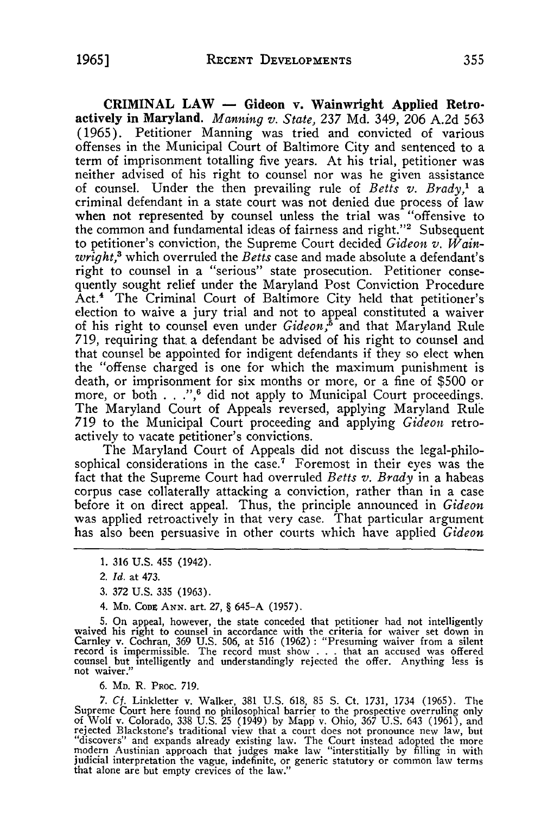**CRIMINAL LAW - Gideon v. Wainwright Applied Retroactively in Maryland.** *Manning v. State,* 237 Md. 349, 206 A.2d 563 (1965). Petitioner Manning was tried and convicted of various offenses in the Municipal Court of Baltimore City and sentenced to a term of imprisonment totalling five years. At his trial, petitioner was neither advised of his right to counsel nor was he given assistance of counsel. Under the then prevailing rule of *Betts v. Brady,* a criminal defendant in a state court was not denied due process of law when not represented by counsel unless the trial was "offensive to the common and fundamental ideas of fairness and right."2 Subsequent to petitioner's conviction, the Supreme Court decided *Gideon v. Wainwright,'* which overruled the *Betts* case and made absolute a defendant's right to counsel in a "serious" state prosecution. Petitioner consequently sought relief under the Maryland Post Conviction Procedure Act.<sup>4</sup> The Criminal Court of Baltimore City held that petitioner's election to waive a jury trial and not to appeal constituted a waiver of his right to counsel even under *Gideon*<sup>5</sup> and that Maryland Rule **719, requiring that. a** defendant be advised of his right to counsel and that counsel be appointed for indigent defendants if they so elect when the "offense charged is one for which the maximum punishment is death, or imprisonment for six months or more, or a fine of \$500 or more, or both **.** . **.",6** did not apply to Municipal Court proceedings. The Maryland Court of Appeals reversed, applying Maryland Rule **719** to the Municipal Court proceeding and applying *Gideon* retroactively to vacate petitioner's convictions.

The Maryland Court of Appeals did not discuss the legal-philosophical considerations in the case.<sup>7</sup> Foremost in their eyes was the fact that the Supreme Court had overruled *Betts v. Brady* in a habeas corpus case collaterally attacking a conviction, rather than in a case before it on direct appeal. Thus, the principle announced in *Gideon* was applied retroactively in that very case. That particular argument has also been persuasive in other courts which have applied *Gideon*

4. MD. **CoDZ ANN.** art. **27, §** 645-A (1957).

5. On appeal, however, the state conceded that petitioner had not intelligently waived his right to counsel in accordance with the criteria for waiver set down in Carnley v. Cochran, 369 U.S. 506, at 516 (1962) : "Presumin

6. **MD.** R. PROC. 719.

7. Cf. Linkletter v. Walker, 381 U.S. 618, 85 S. Ct. 1731, 1734 (1965). The Supreme Court here found no philosophical barrier to the prospective overruling only of Wolf v. Colorado, 338 U.S. 25 (1949) by Mapp v. Ohio, 367 judicial interpretation the vague, indefinite, or generic statutory or common law terms that alone are but empty crevices of the law.

**<sup>1.</sup>** 316 U.S. 455 (1942).

<sup>2.</sup> *Id.* at 473.

<sup>3. 372</sup> U.S. 335 (1963).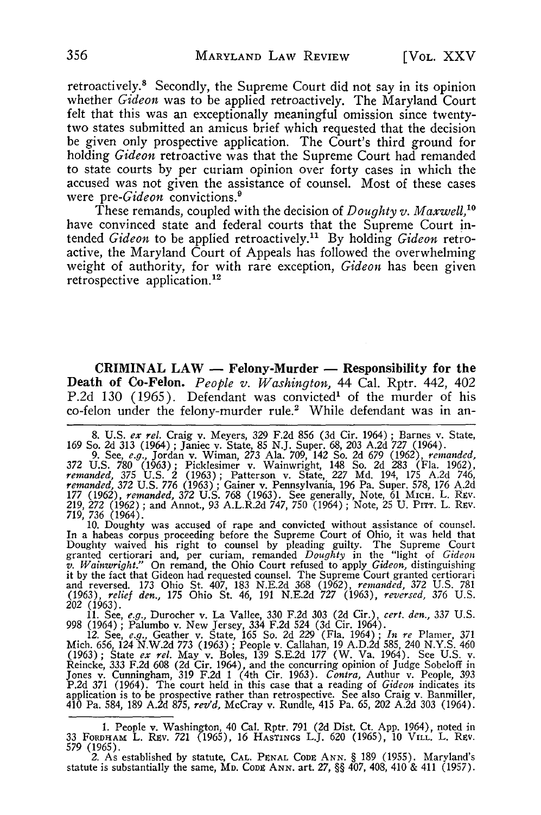retroactively.<sup>8</sup> Secondly, the Supreme Court did not say in its opinion whether *Gideon* was to be applied retroactively. The Maryland Court felt that this was an exceptionally meaningful omission since twentytwo states submitted an amicus brief which requested that the decision be given only prospective application. The Court's third ground for holding *Gideon* retroactive was that the Supreme Court had remanded to state courts by per curiam opinion over forty cases in which the accused was not given the assistance of counsel. Most of these cases were *pre-Gideon* convictions.<sup>9</sup>

These remands, coupled with the decision of *Doughty v. Maxwell,'"* have convinced state and federal courts that the Supreme Court intended *Gideon* to be applied retroactively." By holding *Gideon* retroactive, the Maryland Court of Appeals has followed the overwhelming weight of authority, for with rare exception, *Gideon* has been given retrospective application.<sup>12</sup>

**CRIMINAL LAW - Felony-Murder - Responsibility for the Death of Co-Felon.** *People v. Washington,* 44 Cal. Rptr. 442, 402 P.2d 130 (1965). Defendant was convicted' of the murder of his co-felon under the felony-murder rule.<sup>2</sup> While defendant was in an-

372 U.S. 780 (1963); Picklesimer v. Wainwright, 148 So. 2d 283 (Fla. 1962)<br>remanded, 375 U.S. 2 (1963); Patterson v. State, 227 Md. 194, 175 A.2d 746<br>remanded, 372 U.S. 776 (1963); Gainer v. Pennsylvania, 196 Pa. Super. 57 177 (1962), *remanded*, 372 U.S. 768 (1963). See generally, Note, 61 MICH. L. Rev.<br>219, 272 (1962); and Annot., 93 A.L.R.2d 747, 750 (1964); Note, 25 U. PITT. L. Rev.<br>719, 736 (1964).

10. Doughty was accused of rape and convicted without assistance of counsel<br>In a habeas corpus proceeding before the Supreme Court of Ohio, it was held that<br>Doughty waived his right to counsel by pleading guilty. The Supre granted certiorari and, per curiam, remanded *Doughty* in the "light of *Gideon*, *Wainwright."* On remand, the Ohio Court refused to apply *Gideon*, distinguishing it by the fact that Gideon had requested counsel. The Sup (1963), *relief den.,* 175 Ohio St. 46, 191 N.E.2d *727* (1963), *reversed, 376* U.S. 202 (1963).

11. See, e.g., Durocher v. La Vallee, 330 F.2d 303 (2d Cir.), cert. den., 337 U.S<br>998 (1964); Palumbo v. New Jersey, 334 F.2d 524 (3d Cir. 1964).<br>12. See, e.g., Geather v. State, 165 So. 2d 229 (Fla. 1964); In re Plamer, 3 Jones v. Cunningham, 319 F.2d 1 (4th Cir. 1963). *Contra,* Authur v. People, 393<br>P.2d 371 (1964). The court held in this case that a reading of *Gideon* indicates its<br>application is to be prospective rather than retrospec

<sup>8.</sup> U.S. ex rel. Craig v. Meyers, 329 F.2d 856 (3d Cir. 1964); Barnes v. State, 169 So. 2d 313 (1964); Janiec v. State, 85 N.J. Super. 68, 203 A.2d 727 (1964).<br>9. See, e.g., Jordan v. Wiman, 273 Ala. 709, 142 So. 2d 679 (19

<sup>1.</sup> People v. Washington, 40 Cal. Rptr. 791 (2d Dist. Ct. App. 1964), noted in 33 FORDHzAm L. REv. 721 (1965), 16 HASTINGS L.J. 620 (1965), 10 VILL. L. REv. 579 (1965).

<sup>2.</sup> As established by statute, **CAL. PENAL CODE ANN.** § 189 (1955). Maryland's statute is substantially the same, MD. CODE ANN. art. 27, §§ 407, 408, 410 & 411 (1957).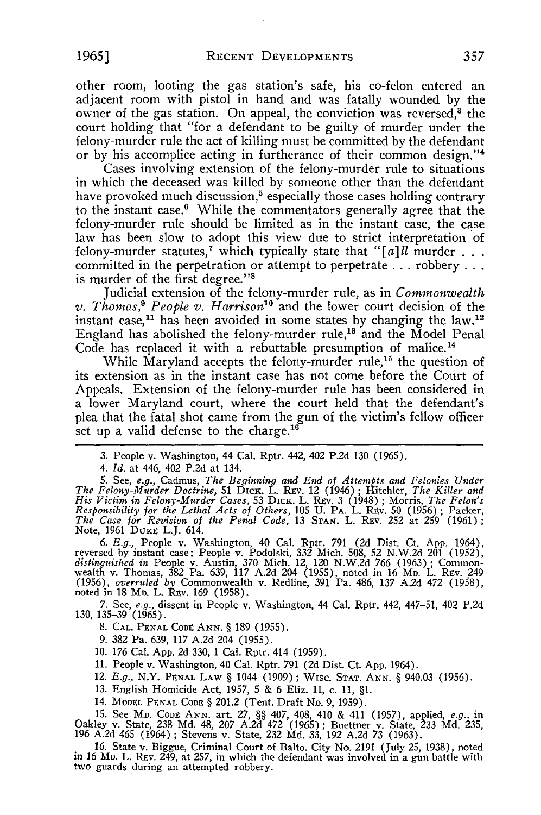other room, looting the gas station's safe, his co-felon entered an adjacent room with pistol in hand and was fatally wounded by the owner of the gas station. On appeal, the conviction was reversed,<sup>3</sup> the court holding that "for a defendant to be guilty of murder under the felony-murder rule the act of killing must be committed by the defendant or by his accomplice acting in furtherance of their common design."<sup>4</sup>

Cases involving extension of the felony-murder rule to situations in which the deceased was killed by someone other than the defendant have provoked much discussion,<sup>5</sup> especially those cases holding contrary to the instant case.' While the commentators generally agree that the felony-murder rule should be limited as in the instant case, the case law has been slow to adopt this view due to strict interpretation of felony-murder statutes,<sup>7</sup> which typically state that "[a]ll murder  $\ldots$ committed in the perpetration or attempt to perpetrate **...** robbery... is murder of the first degree."<sup>8</sup>

Judicial extension of the felony-murder rule, as in *Commonwealth v. Thomas,' People v. Harrison°* and the lower court decision of the instant case,<sup>11</sup> has been avoided in some states by changing the law.<sup>12</sup> England has abolished the felony-murder rule,<sup>13</sup> and the Model Penal Code has replaced it with a rebuttable presumption of malice.<sup>14</sup>

While Maryland accepts the felony-murder rule,<sup>15</sup> the question of its extension as in the instant case has not come before the Court of Appeals. Extension of the felony-murder rule has been considered in a lower Maryland court, where the court held that the defendant's plea that the fatal shot came from the gun of the victim's fellow officer set up a valid defense to the charge.<sup>16</sup>

*4. Id.* at 446, 402 P.2d at 134.

5. See, e.g., Cadmus, The Beginning and End of Attempts and Felonies Under<br>The Felony-Murder Doctrine, 51 DICK. L. REV. 12 (1946); Hitchler, The Killer and<br>His Victim in Felony-Murder Cases, 53 DICK. L. REV. 3 (1948); Morr *Responsibility for the Lethal Acts of Others,* 105 U. PA. L. REv. 50 (1956) ; Packer, *The Case for Revision of the Penal Code,* 13 **STAN.** L. Rev. 252 at 259 (1961) Note, 1961 DUKE L.J. 614.

6. E.g., People v. Washington, 40 Cal. Rptr. 791 (2d Dist. Ct. App. 1964)<br>reversed by instant case; People v. Podolski, 332 Mich. 508, 52 N.W.2d 201 (1952)<br>distinguished in People v. Austin, 370 Mich. 12, 120 N.W.2d 766 (1 noted in 18 MD. L. Rev. 169 (1958).

7. See, *e.g.,* dissent in People v. Washington, 44 Cal. Rptr. 442, 447-51, 402 P.2d 130, 135-39 (1965).

8. **CAL.** PENAL CODE **ANN.** § 189 (1955).

9. 382 Pa. 639, 117 A.2d 204 (1955).

10. 176 Cal. App. 2d 330, 1 Cal. Rptr. 414 (1959).

11. People v. Washington, 40 Cal. Rptr. 791 **(2d** Dist. Ct. App. 1964).

12. *E.g.,* N.Y. PENAL LAW § 1044 (1909); WISC. **STAT. ANN.** § 940.03 (1956).

13. English Homicide Act, 1957, 5 & 6 Eliz. II, c. 11, §1.

14. MODEL **PENAL CODE** § 201.2 (Tent. Draft No. 9, 1959).

15. See Mp. Copg ANN. art. 27, §§ 407, 408, 410 & 411 (1957), applied, *e.g.*, ir<br>Oakley v. State, 238 Md. 48, 207 A.2d 472 (1965); Buettner v. State, 233 Md. 235<br>196 A.2d 465 (1964): Stevens v. State. 232 Md. 33, 192 A.2d

16. State v. Biggue, Criminal Court of Balto. City No. 2191 (July 25, 1938), noted in 16 Mp. L. Rev. 249, at 257, in which the defendant was involved in a gun battle with two guards during an attempted robbery.

<sup>3.</sup> People v. Washington, 44 Cal. Rptr. 442, 402 P.2d 130 (1965).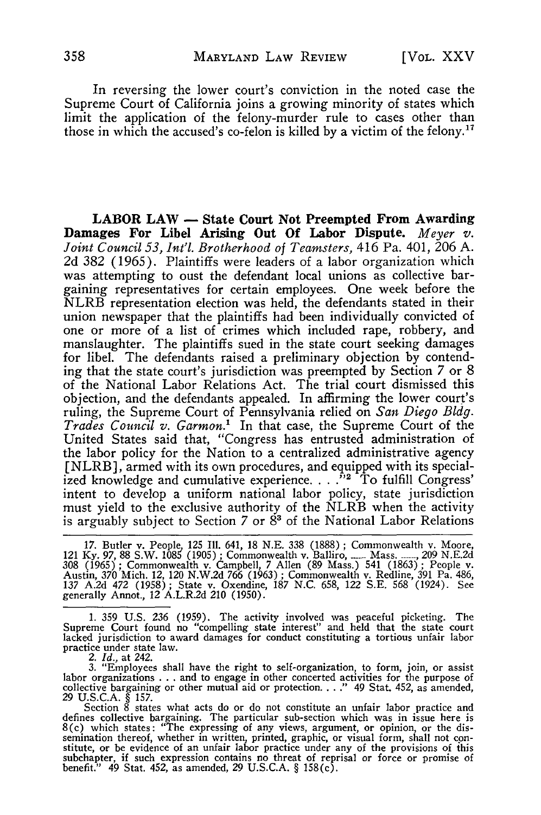In reversing the lower court's conviction in the noted case the Supreme Court of California joins a growing minority of states which limit the application of the felony-murder rule to cases other than those in which the accused's co-felon is killed by a victim of the felony.<sup>17</sup>

**LABOR LAW - State Court Not Preempted From Awarding Damages For Libel Arising Out Of Labor Dispute.** *Meyer v. Joint Council 53, Int'l. Brotherhood of Teamsters,* 416 Pa. 401, 206 **A.** 2d 382 (1965). Plaintiffs were leaders of a labor organization which was attempting to oust the defendant local unions as collective bargaining representatives for certain employees. One week before the NLRB representation election was held, the defendants stated in their union newspaper that the plaintiffs had been individually convicted of one or more of a list of crimes which included rape, robbery, and manslaughter. The plaintiffs sued in the state court seeking damages for libel. The defendants raised a preliminary objection by contending that the state court's jurisdiction was preempted by Section 7 or 8 of the National Labor Relations Act. The trial court dismissed this objection, and the defendants appealed. In affirming the lower court's ruling, the Supreme Court of Pennsylvania relied on *San Diego Bldg. Trades Council v. Garmon.'* In that case, the Supreme Court of the United States said that, "Congress has entrusted administration of the labor policy for the Nation to a centralized administrative agency [NLRB], armed with its own procedures, and equipped with its specialized knowledge and cumulative experience. . . .<sup>72</sup> To fulfill Congress intent to develop a uniform national labor policy, state jurisdiction must yield to the exclusive authority of the NLRB when the activity is arguably subject to Section 7 or **8'** of the National Labor Relations

17. Butler v. People, 125 Ill. 641, 18 N.E. 338 (1888) ; Commonwealth v. Moore, 121 Ky. 97, 88 S.W. 1085 (1905) ; Commonwealth v. Balliro, ....... Mass. ......, 209 N.E.2d 308 (1965) ; Commonwealth v. Campbell, 7 Allen (89 Mass.) 541 (1863) ; People v.<br>Austin, 370 Mich. 12, 120 N.W.2d 766 (1963) ; Commonwealth v. Redline, 391 Pa. 486<br>137 A.2d 472 (1958) ; State v. Oxendine, 187 N.C. 658, 122

1. 359 U.S. 236 (1959). The activity involved was peaceful picketing. The Supreme Court found no "compelling state interest" and held that the state court lacked jurisdiction to award damages for conduct constituting a tortious unfair labor practice under state law. *2. Id.,* at 242.

3. "Employees shall have the right to self-organization, to form, join, or assist<br>labor organizations . . . and to engage in other concerted activities for the purpose of<br>collective bargaining or other mutual aid or prote

29 U.S.C.A. § 157.<br>Section 8 states what acts do or do not constitute an unfair labor practice and<br>defines collective bargaining. The particular sub-section which was in issue here is<br>8(c) which states: "The expressing of semination thereof, whether in written, printed, graphic, or visual form, shall not con-<br>stitute, or be evidence of an unfair labor practice under any of the provisions of this subchapter, if such expression contains no threat of reprisal or force or promise of benefit." 49 Stat. 452, as amended, 29 U.S.C.A. § 158(c).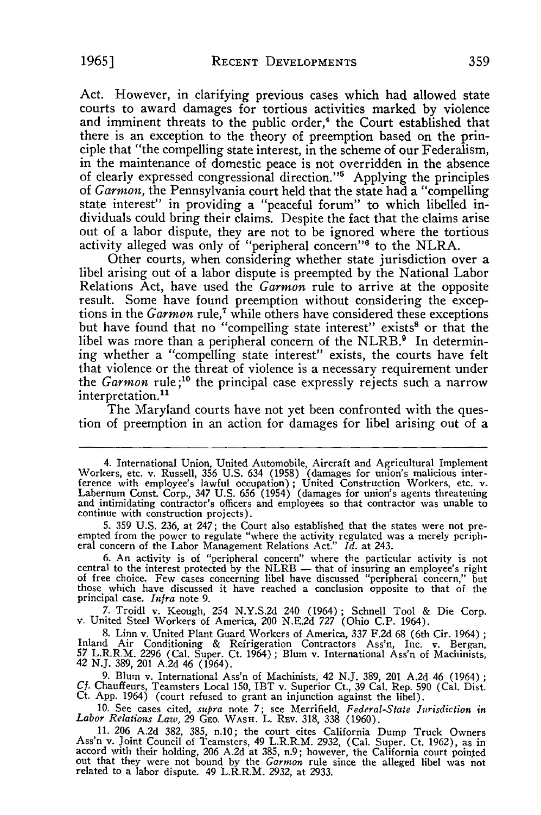Act. However, in clarifying previous cases which had allowed state courts to award damages for tortious activities marked **by** violence and imminent threats to the public order, $4$  the Court established that there is an exception to the theory of preemption based on the principle that "the compelling state interest, in the scheme of our Federalism, in the maintenance of domestic peace is not overridden in the absence of clearly expressed congressional direction."' Applying the principles of *Garmon,* the Pennsylvania court held that the state had a "compelling state interest" in providing a "peaceful forum" to which libelled individuals could bring their claims. Despite the fact that the claims arise out of a labor dispute, they are not to be ignored where the tortious activity alleged was only of "peripheral concern"<sup>6</sup> to the NLRA.

Other courts, when considering whether state jurisdiction over a libel arising out of a labor dispute is preempted **by** the National Labor result. Some have found preemption without considering the exceptions in the  $Gamma$  rule,<sup>7</sup> while others have considered these exceptions but have found that no "compelling state interest" exists<sup>8</sup> or that the libel was more than a peripheral concern of the NLRB.<sup>9</sup> In determining whether a "compelling state interest" exists, the courts have felt that violence or the threat of violence is a necessary requirement under the *Garmon* rule;<sup>10</sup> the principal case expressly rejects such a narrow interpretation.<sup>11</sup>

The Maryland courts have not yet been confronted with the question of preemption in an action for damages for libel arising out of a

6. An activity is of "peripheral concern" where the particular activity is not central to the interest protected by the NLRB — that of insuring an employee's right of free choice. Few cases concerning libel have discussed principal case. *Infra* note 9.

**7.** Troidl v. Keough, 254 N.Y.S.2d 240 (1964); Schnell Tool & Die Corp. v. United Steel Workers of America, 200 N.E.2d 727 (Ohio **C.P.** 1964).

8. Linn v. United Plant Guard Workers of America, 337 F.2d 68 (6th Cir. 1964); Inland Air Conditioning & Refrigeration Contractors Ass'n, Inc. v. Bergan, 57 L.R.R.M. 2296 (Cal. Super. Ct. 1964); Blum v. International Ass'n

**9.** Blum v. International Ass'n of Machinists, 42 N.J. 389, 201 A.2d 46 (1964) *Cf.* Chauffeurs, Teamsters Local 150, IBT v. Superior Ct., 39 Cal. Rep. **590** (Cal. Dist. Ct. App. 1964) (court refused to grant an injunction against the libel).

**10.** See cases cited, *supra* note 7; see Merrifield, *Federal-State Jurisdiction in Labor Relations Law,* 29 Gro. WASH. L. REv. 318, 338 (1960).

11. 206 A.2d 382, 385, n.10; the court cites California Dump Truck Owners Ass'n v. Joint Council of Teamsters, 49 L.R.R.M. 2932, (Cal. Super. Ct. 1962), as in accord with their holding, 206 A.2d at 385, n.9; however, the California court pointed<br>out that they were not bound by the *Garmon* rule since the alleged libel was no<br>related to a labor dispute. 49 L.R.R.M. 2932, at 2933.

<sup>4.</sup> International Union, United Automobile, Aircraft and Agricultural Implement Workers, etc. v. Russell, 356 U.S. 634 (1958) (damages for union's malicious interference with employee's lawful occupation); United Construction Workers, etc. v.<br>Labernum Const. Corp., 347 U.S. 656 (1954) (damages for union's agents threatening<br>and intimidating contractor's officers and employees so th continue with construction projects).

<sup>5. 359</sup> U.S. 236, at 247; the Court also established that the states were not pre-<br>empted from the power to regulate "where the activity regulated was a merely peripheral concern of the Labor Management Relations Act." Id.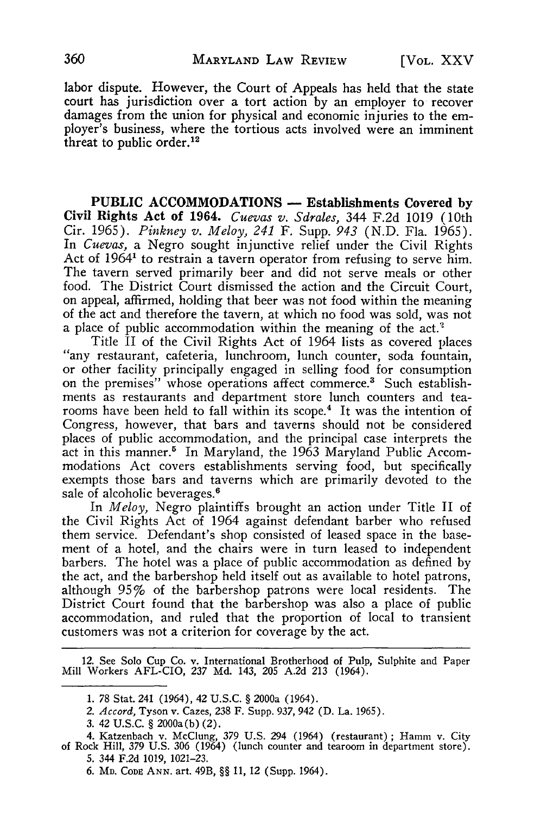labor dispute. However, the Court of Appeals has held that the state court has jurisdiction over a tort action by an employer to recover damages from the union for physical and economic injuries to the employer's business, where the tortious acts involved were an imminent threat to public order. $12$ 

**PUBLIC ACCOMMODATIONS - Establishments Covered by Civil Rights Act of 1964.** *Cuevas v. Sdrales,* 344 **F.2d 1019** (10th Cir. 1965). *Pinkney v. Meloy, 241* F. Supp. *943* (N.D. Fla. 1965). In *Cuevas,* a Negro sought injunctive relief under the Civil Rights Act of 1964<sup>1</sup> to restrain a tavern operator from refusing to serve him. The tavern served primarily beer and did not serve meals or other food. The District Court dismissed the action and the Circuit Court, on appeal, affirmed, holding that beer was not food within the meaning of the act and therefore the tavern, at which no food was sold, was not a place of public accommodation within the meaning of the act.<sup>2</sup>

Title II of the Civil Rights Act of 1964 lists as covered places "any restaurant, cafeteria, lunchroom, lunch counter, soda fountain, or other facility principally engaged in selling food for consumption on the premises" whose operations affect commerce.<sup>3</sup> Such establishments as restaurants and department store lunch counters and tearooms have been held to fall within its scope.<sup>4</sup> It was the intention of Congress, however, that bars and taverns should not be considered places of public accommodation, and the principal case interprets the act in this manner.<sup>5</sup> In Maryland, the 1963 Maryland Public Accommodations Act covers establishments serving food, but specifically exempts those bars and taverns which are primarily devoted to the sale of alcoholic beverages.<sup>6</sup>

In *Meloy,* Negro plaintiffs brought an action under Title II of the Civil Rights Act of 1964 against defendant barber who refused them service. Defendant's shop consisted of leased space in the basement of a hotel, and the chairs were in turn leased to independent barbers. The hotel was a place of public accommodation as defined by the act, and the barbershop held itself out as available to hotel patrons, although 95% of the barbershop patrons were local residents. The District Court found that the barbershop was also a place of public accommodation, and ruled that the proportion of local to transient customers was not a criterion for coverage by the act.

12. See Solo Cup Co. v. International Brotherhood of Pulp, Sulphite and Paper Mill Workers AFL-CIO, 237 Md. 143, 205 A.2d 213 (1964).

- *2. Accord,* Tyson v. Cazes, 238 F. Supp. 937, 942 (D. La. 1965).
- 3. 42 **U.S.C.** § 2000a(b) (2).

<sup>1. 78</sup> Stat. 241 (1964), 42 U.S.C. § 2000a (1964).

<sup>4.</sup> Katzenbach v. McClung, 379 U.S. 294 (1964) (restaurant); Hamn v. City of Rock Hill, 379 U.S. 306 (1964) (lunch counter and tearoom in department store). 5. 344 F.2d 1019, 1021-23.

<sup>6.</sup> **MD. CoDE ANN.** art. 49B, §§ **11, 12** (Supp. 1964).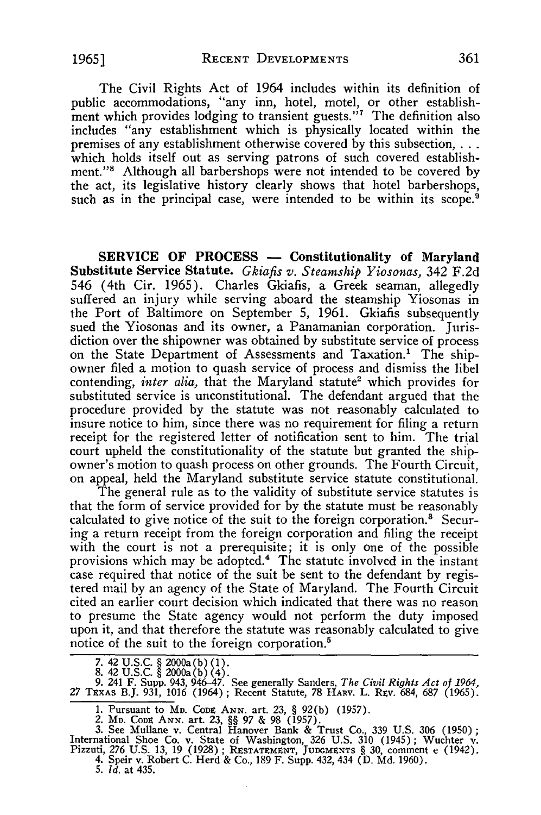The Civil Rights Act of 1964 includes within its definition of public accommodations, "any inn, hotel, motel, or other establishment which provides lodging to transient guests."<sup>7</sup> The definition also includes "any establishment which is physically located within the premises of any establishment otherwise covered by this subsection,... which holds itself out as serving patrons of such covered establishment."<sup>8</sup> Although all barbershops were not intended to be covered by the act, its legislative history clearly shows that hotel barbershops, such as in the principal case, were intended to be within its scope.<sup>9</sup>

SERVICE OF **PROCESS - Constitutionality of Maryland** Substitute Service Statute. *Gkiafis v. Steamship Yiosonas,* 342 F.2d 546 (4th Cir. 1965). Charles Gkiafis, a Greek seaman, allegedly suffered an injury while serving aboard the steamship Yiosonas in the Port of Baltimore on September 5, 1961. Gkiafis subsequently sued the Yiosonas and its owner, a Panamanian corporation. Jurisdiction over the shipowner was obtained **by** substitute service of process on the State Department of Assessments and Taxation.' The shipowner filed a motion to quash service of process and dismiss the libel contending, *inter alia*, that the Maryland statute<sup>2</sup> which provides for substituted service is unconstitutional. The defendant argued that the procedure provided **by** the statute was not reasonably calculated to insure notice to him, since there was no requirement for filing a return receipt for the registered letter of notification sent to him. The trial court upheld the constitutionality of the statute but granted the shipowner's motion to quash process on other grounds. The Fourth Circuit, on appeal, held the Maryland substitute service statute constitutional.

The general rule as to the validity of substitute service statutes is that the form of service provided for **by** the statute must be reasonably calculated to give notice of the suit to the foreign corporation.3 Securing a return receipt from the foreign corporation and filing the receipt with the court is not a prerequisite; it is only one of the possible provisions which may be adopted.4 The statute involved in the instant case required that notice of the suit be sent to the defendant **by** registered mail **by** an agency of the State of Maryland. The Fourth Circuit cited an earlier court decision which indicated that there was no reason to presume the State agency would not perform the duty imposed upon it, and that therefore the statute was reasonably calculated to give notice of the suit to the foreign corporation.<sup>5</sup>

- **7.** 42 U.S.C. § 2000a(b) (1). **8.** 42 U.S.C. § 2000a(b) (4).
- 

**9.** 241 F. Supp. 943, 946-47. See generally Sanders, *The Civil Rights Act of 1964,* 27 TExAs B.J. 931, 1016 (1964) ; Recent Statute, **78** HARV. L. Rev. 684, 687 (1965).

- 1. Pursuant to M<sub>D</sub>. Code ANN. art. 23, § 92(b) (1957).<br>2. M<sub>D</sub>. Code ANN. art. 23, §§ 97 & 98 (1957).
- 

3. See Mullane v. Central Hanover Bank & Trust Co., 339 U.S. 306 (1950);<br>International Shoe Co. v. State of Washington, 326 U.S. 310 (1945); Wuchter v.<br>Pizzuti, 276 U.S. 13. 19 (1928): RESTATEMENT, JUDGMENTS § 30. comment 4. Speir v. Robert C. Herd & Co., 189 F. Supp. 432, 434 (D. Md. 1960).

5. *Id.* at 435.